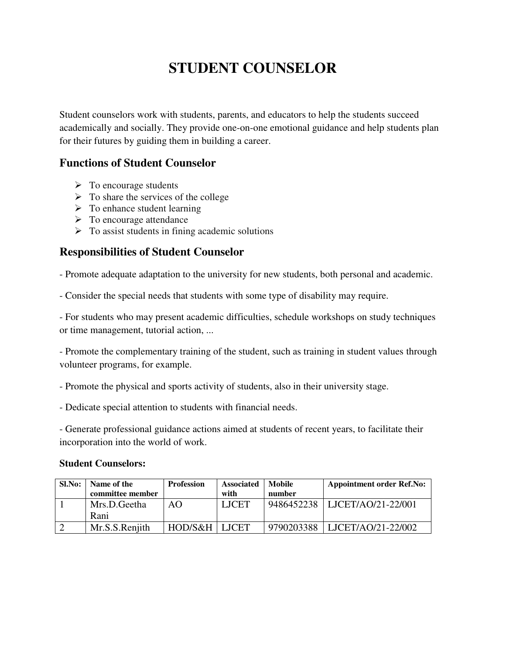# **STUDENT COUNSELOR**

Student counselors work with students, parents, and educators to help the students succeed academically and socially. They provide one-on-one emotional guidance and help students plan for their futures by guiding them in building a career.

# **Functions of Student Counselor**

- $\triangleright$  To encourage students
- $\triangleright$  To share the services of the college
- $\triangleright$  To enhance student learning
- $\triangleright$  To encourage attendance
- $\triangleright$  To assist students in fining academic solutions

# **Responsibilities of Student Counselor**

- Promote adequate adaptation to the university for new students, both personal and academic.

- Consider the special needs that students with some type of disability may require.

- For students who may present academic difficulties, schedule workshops on study techniques or time management, tutorial action, ...

- Promote the complementary training of the student, such as training in student values through volunteer programs, for example.

- Promote the physical and sports activity of students, also in their university stage.
- Dedicate special attention to students with financial needs.

- Generate professional guidance actions aimed at students of recent years, to facilitate their incorporation into the world of work.

#### **Student Counselors:**

| Sl.No: | Name of the      | <b>Profession</b> | <b>Associated</b> | Mobile     | <b>Appointment order Ref.No:</b> |
|--------|------------------|-------------------|-------------------|------------|----------------------------------|
|        | committee member |                   | with              | number     |                                  |
|        | Mrs.D.Geetha     | AΟ                | <b>LJCET</b>      | 9486452238 | LJCET/AO/21-22/001               |
|        | Rani             |                   |                   |            |                                  |
|        | Mr.S.S.Renjith   | HOD/S&H LICET     |                   | 9790203388 | LJCET/AO/21-22/002               |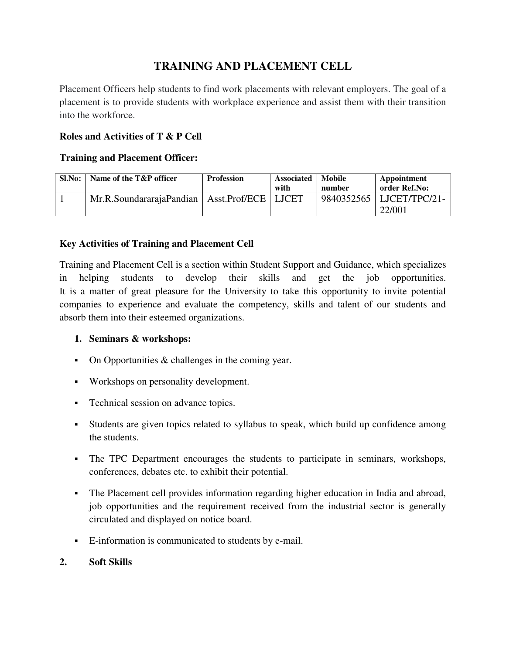# **TRAINING AND PLACEMENT CELL**

Placement Officers help students to find work placements with relevant employers. The goal of a placement is to provide students with workplace experience and assist them with their transition into the workforce.

#### **Roles and Activities of T & P Cell**

#### **Training and Placement Officer:**

| Sl.No: | Name of the T&P officer                          | <b>Profession</b> | <b>Associated</b><br>with | <b>Mobile</b><br>number | Appointment<br>order Ref.No:         |
|--------|--------------------------------------------------|-------------------|---------------------------|-------------------------|--------------------------------------|
|        | Mr.R.SoundararajaPandian   Asst.Prof/ECE   LJCET |                   |                           |                         | 9840352565   LJCET/TPC/21-<br>22/001 |

#### **Key Activities of Training and Placement Cell**

Training and Placement Cell is a section within Student Support and Guidance, which specializes in helping students to develop their skills and get the job opportunities. It is a matter of great pleasure for the University to take this opportunity to invite potential companies to experience and evaluate the competency, skills and talent of our students and absorb them into their esteemed organizations.

#### **1. Seminars & workshops:**

- $\blacksquare$  On Opportunities & challenges in the coming year.
- Workshops on personality development.
- Technical session on advance topics.
- Students are given topics related to syllabus to speak, which build up confidence among the students.
- The TPC Department encourages the students to participate in seminars, workshops, conferences, debates etc. to exhibit their potential.
- The Placement cell provides information regarding higher education in India and abroad, job opportunities and the requirement received from the industrial sector is generally circulated and displayed on notice board.
- E-information is communicated to students by e-mail.

#### **2. Soft Skills**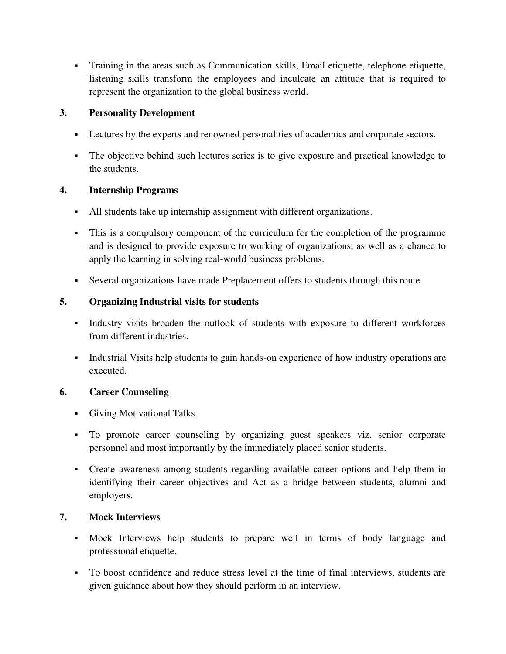Training in the areas such as Communication skills, Email etiquette, telephone etiquette, listening skills transform the employees and inculcate an attitude that is required to represent the organization to the global business world.

#### **3. Personality Development**

- **Lectures by the experts and renowned personalities of academics and corporate sectors.**
- The objective behind such lectures series is to give exposure and practical knowledge to the students.

#### **4. Internship Programs**

- All students take up internship assignment with different organizations.
- This is a compulsory component of the curriculum for the completion of the programme and is designed to provide exposure to working of organizations, as well as a chance to apply the learning in solving real-world business problems.
- Several organizations have made Preplacement offers to students through this route.

#### **5. Organizing Industrial visits for students**

- Industry visits broaden the outlook of students with exposure to different workforces from different industries.
- Industrial Visits help students to gain hands-on experience of how industry operations are executed.

#### **6. Career Counseling**

- Giving Motivational Talks.
- To promote career counseling by organizing guest speakers viz. senior corporate personnel and most importantly by the immediately placed senior students.
- Create awareness among students regarding available career options and help them in identifying their career objectives and Act as a bridge between students, alumni and employers.

#### **7. Mock Interviews**

- Mock Interviews help students to prepare well in terms of body language and professional etiquette.
- To boost confidence and reduce stress level at the time of final interviews, students are given guidance about how they should perform in an interview.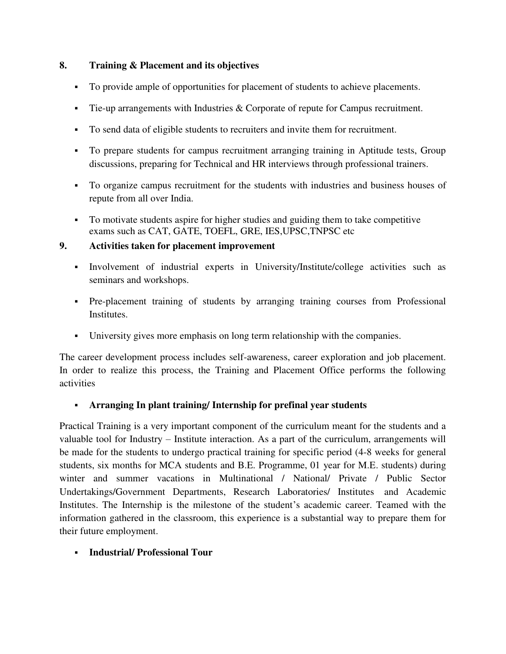#### **8. Training & Placement and its objectives**

- To provide ample of opportunities for placement of students to achieve placements.
- Tie-up arrangements with Industries & Corporate of repute for Campus recruitment.
- To send data of eligible students to recruiters and invite them for recruitment.
- To prepare students for campus recruitment arranging training in Aptitude tests, Group discussions, preparing for Technical and HR interviews through professional trainers.
- To organize campus recruitment for the students with industries and business houses of repute from all over India.
- To motivate students aspire for higher studies and guiding them to take competitive exams such as CAT, GATE, TOEFL, GRE, IES,UPSC,TNPSC etc

#### **9. Activities taken for placement improvement**

- Involvement of industrial experts in University/Institute/college activities such as seminars and workshops.
- Pre-placement training of students by arranging training courses from Professional Institutes.
- University gives more emphasis on long term relationship with the companies.

The career development process includes self-awareness, career exploration and job placement. In order to realize this process, the Training and Placement Office performs the following activities

# **Arranging In plant training/ Internship for prefinal year students**

Practical Training is a very important component of the curriculum meant for the students and a valuable tool for Industry – Institute interaction. As a part of the curriculum, arrangements will be made for the students to undergo practical training for specific period (4-8 weeks for general students, six months for MCA students and B.E. Programme, 01 year for M.E. students) during winter and summer vacations in Multinational / National/ Private / Public Sector Undertakings/Government Departments, Research Laboratories/ Institutes and Academic Institutes. The Internship is the milestone of the student's academic career. Teamed with the information gathered in the classroom, this experience is a substantial way to prepare them for their future employment.

#### **Industrial/ Professional Tour**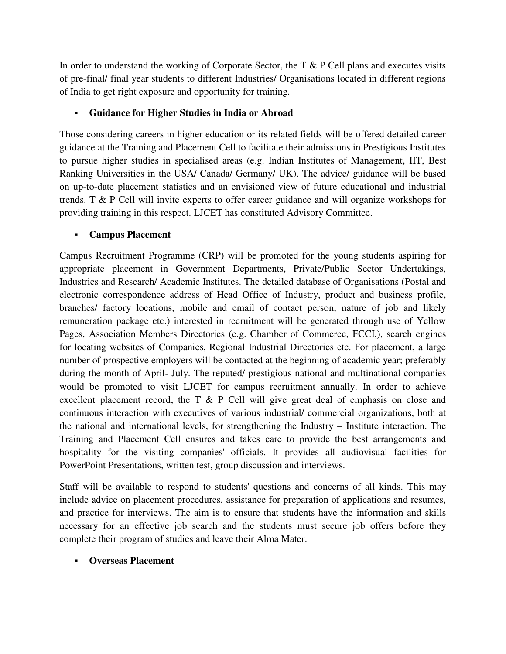In order to understand the working of Corporate Sector, the T & P Cell plans and executes visits of pre-final/ final year students to different Industries/ Organisations located in different regions of India to get right exposure and opportunity for training.

#### **Guidance for Higher Studies in India or Abroad**

Those considering careers in higher education or its related fields will be offered detailed career guidance at the Training and Placement Cell to facilitate their admissions in Prestigious Institutes to pursue higher studies in specialised areas (e.g. Indian Institutes of Management, IIT, Best Ranking Universities in the USA/ Canada/ Germany/ UK). The advice/ guidance will be based on up-to-date placement statistics and an envisioned view of future educational and industrial trends. T & P Cell will invite experts to offer career guidance and will organize workshops for providing training in this respect. LJCET has constituted Advisory Committee.

#### **Campus Placement**

Campus Recruitment Programme (CRP) will be promoted for the young students aspiring for appropriate placement in Government Departments, Private/Public Sector Undertakings, Industries and Research/ Academic Institutes. The detailed database of Organisations (Postal and electronic correspondence address of Head Office of Industry, product and business profile, branches/ factory locations, mobile and email of contact person, nature of job and likely remuneration package etc.) interested in recruitment will be generated through use of Yellow Pages, Association Members Directories (e.g. Chamber of Commerce, FCCI,), search engines for locating websites of Companies, Regional Industrial Directories etc. For placement, a large number of prospective employers will be contacted at the beginning of academic year; preferably during the month of April- July. The reputed/ prestigious national and multinational companies would be promoted to visit LJCET for campus recruitment annually. In order to achieve excellent placement record, the T & P Cell will give great deal of emphasis on close and continuous interaction with executives of various industrial/ commercial organizations, both at the national and international levels, for strengthening the Industry – Institute interaction. The Training and Placement Cell ensures and takes care to provide the best arrangements and hospitality for the visiting companies' officials. It provides all audiovisual facilities for PowerPoint Presentations, written test, group discussion and interviews.

Staff will be available to respond to students' questions and concerns of all kinds. This may include advice on placement procedures, assistance for preparation of applications and resumes, and practice for interviews. The aim is to ensure that students have the information and skills necessary for an effective job search and the students must secure job offers before they complete their program of studies and leave their Alma Mater.

#### **Overseas Placement**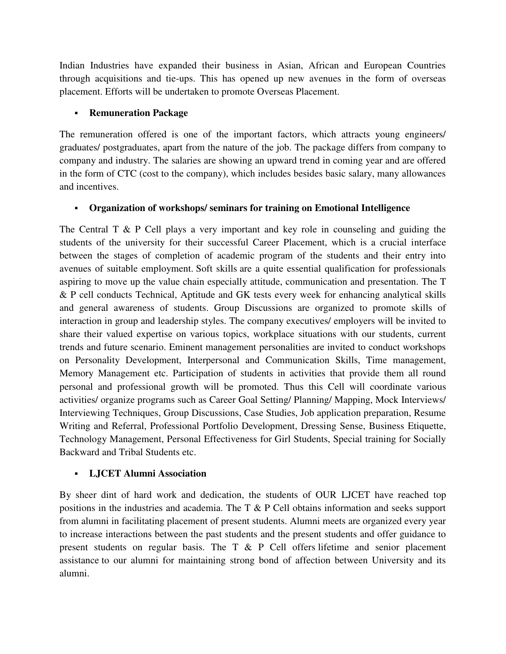Indian Industries have expanded their business in Asian, African and European Countries through acquisitions and tie-ups. This has opened up new avenues in the form of overseas placement. Efforts will be undertaken to promote Overseas Placement.

#### **Remuneration Package**

The remuneration offered is one of the important factors, which attracts young engineers/ graduates/ postgraduates, apart from the nature of the job. The package differs from company to company and industry. The salaries are showing an upward trend in coming year and are offered in the form of CTC (cost to the company), which includes besides basic salary, many allowances and incentives.

# **Organization of workshops/ seminars for training on Emotional Intelligence**

The Central T & P Cell plays a very important and key role in counseling and guiding the students of the university for their successful Career Placement, which is a crucial interface between the stages of completion of academic program of the students and their entry into avenues of suitable employment. Soft skills are a quite essential qualification for professionals aspiring to move up the value chain especially attitude, communication and presentation. The T & P cell conducts Technical, Aptitude and GK tests every week for enhancing analytical skills and general awareness of students. Group Discussions are organized to promote skills of interaction in group and leadership styles. The company executives/ employers will be invited to share their valued expertise on various topics, workplace situations with our students, current trends and future scenario. Eminent management personalities are invited to conduct workshops on Personality Development, Interpersonal and Communication Skills, Time management, Memory Management etc. Participation of students in activities that provide them all round personal and professional growth will be promoted. Thus this Cell will coordinate various activities/ organize programs such as Career Goal Setting/ Planning/ Mapping, Mock Interviews/ Interviewing Techniques, Group Discussions, Case Studies, Job application preparation, Resume Writing and Referral, Professional Portfolio Development, Dressing Sense, Business Etiquette, Technology Management, Personal Effectiveness for Girl Students, Special training for Socially Backward and Tribal Students etc.

# **LJCET Alumni Association**

By sheer dint of hard work and dedication, the students of OUR LJCET have reached top positions in the industries and academia. The T & P Cell obtains information and seeks support from alumni in facilitating placement of present students. Alumni meets are organized every year to increase interactions between the past students and the present students and offer guidance to present students on regular basis. The T & P Cell offers lifetime and senior placement assistance to our alumni for maintaining strong bond of affection between University and its alumni.